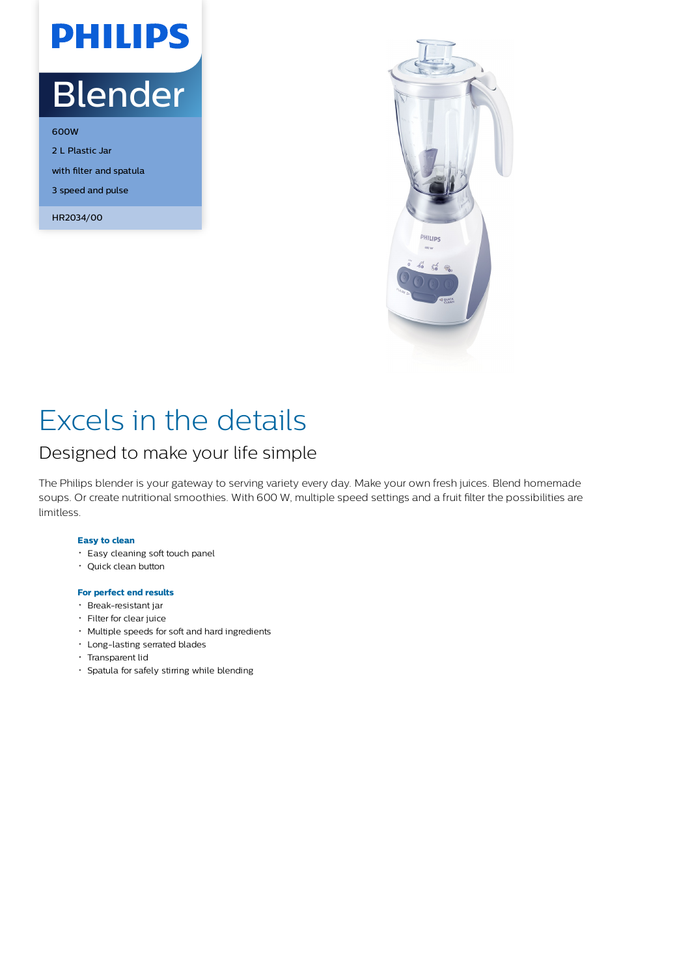# **PHILIPS**

## Blender

600W 2 L Plastic Jar with filter and spatula 3 speed and pulse

HR2034/00



### Excels in the details

### Designed to make your life simple

The Philips blender is your gateway to serving variety every day. Make your own fresh juices. Blend homemade soups. Or create nutritional smoothies. With 600 W, multiple speed settings and a fruit filter the possibilities are limitless.

#### **Easy to clean**

- Easy cleaning soft touch panel
- Quick clean button

#### **For perfect end results**

- Break-resistant jar
- Filter for clear juice
- Multiple speeds for soft and hard ingredients
- Long-lasting serrated blades
- Transparent lid
- Spatula for safely stirring while blending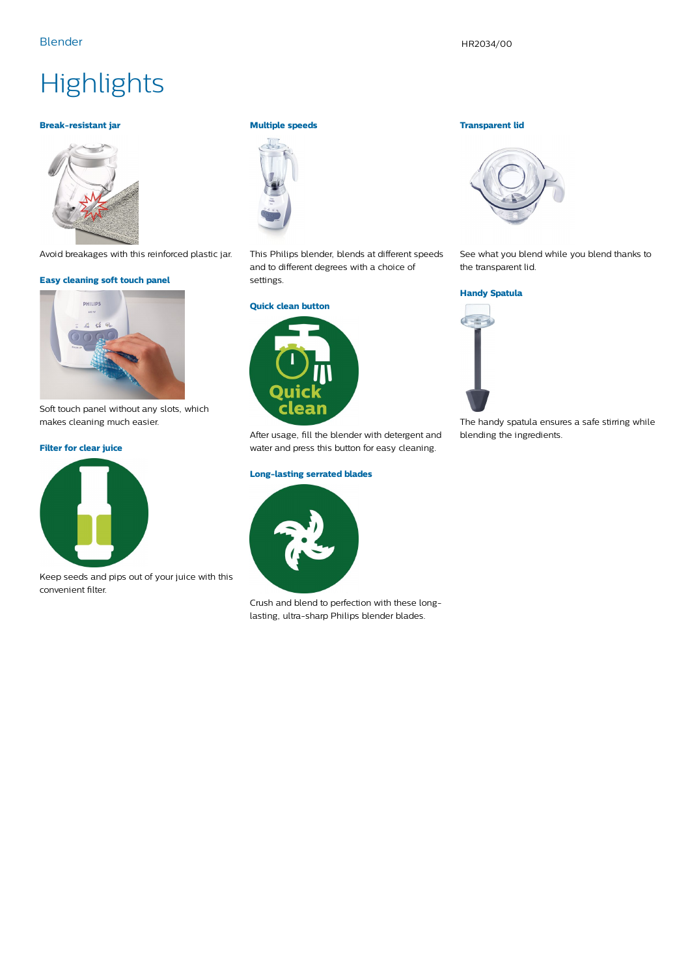### **Highlights**

#### **Break-resistant jar**



Avoid breakages with this reinforced plastic jar.

#### **Easy cleaning soft touch panel**



Soft touch panel without any slots, which makes cleaning much easier.

#### **Filter for clear juice**



Keep seeds and pips out of your juice with this convenient filter.

#### **Multiple speeds**



This Philips blender, blends at different speeds and to different degrees with a choice of settings.



After usage, fill the blender with detergent and water and press this button for easy cleaning.

#### **Long-lasting serrated blades**



Crush and blend to perfection with these longlasting, ultra-sharp Philips blender blades.

#### **Transparent lid**



See what you blend while you blend thanks to the transparent lid.

#### **Handy Spatula**



The handy spatula ensures a safe stirring while blending the ingredients.